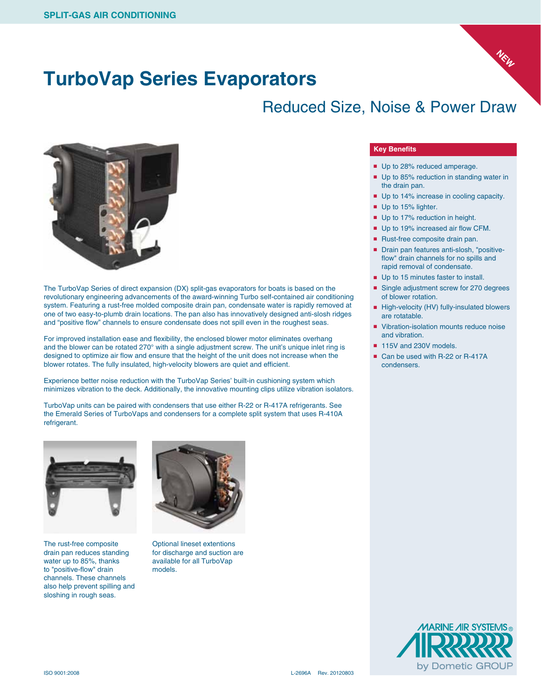### **TurboVap Series Evaporators**

### Reduced Size, Noise & Power Draw



The TurboVap Series of direct expansion (DX) split-gas evaporators for boats is based on the revolutionary engineering advancements of the award-winning Turbo self-contained air conditioning system. Featuring a rust-free molded composite drain pan, condensate water is rapidly removed at one of two easy-to-plumb drain locations. The pan also has innovatively designed anti-slosh ridges and "positive flow" channels to ensure condensate does not spill even in the roughest seas.

For improved installation ease and flexibility, the enclosed blower motor eliminates overhang and the blower can be rotated 270° with a single adjustment screw. The unit's unique inlet ring is designed to optimize air flow and ensure that the height of the unit does not increase when the blower rotates. The fully insulated, high-velocity blowers are quiet and efficient.

Experience better noise reduction with the TurboVap Series' built-in cushioning system which minimizes vibration to the deck. Additionally, the innovative mounting clips utilize vibration isolators.

TurboVap units can be paired with condensers that use either R-22 or R-417A refrigerants. See the Emerald Series of TurboVaps and condensers for a complete split system that uses R-410A refrigerant.



The rust-free composite drain pan reduces standing water up to 85%, thanks to "positive-flow" drain channels. These channels also help prevent spilling and sloshing in rough seas.



Optional lineset extentions for discharge and suction are available for all TurboVap models.

#### **Key Benefits**

- Up to 28% reduced amperage.
- Up to 85% reduction in standing water in the drain pan.

**NEW**

- Up to 14% increase in cooling capacity.
- Up to 15% lighter.
- Up to 17% reduction in height.
- Up to 19% increased air flow CFM.
- Rust-free composite drain pan.
- Drain pan features anti-slosh, "positiveflow" drain channels for no spills and rapid removal of condensate.
- Up to 15 minutes faster to install.
- Single adjustment screw for 270 degrees of blower rotation.
- High-velocity (HV) fully-insulated blowers are rotatable.
- Vibration-isolation mounts reduce noise and vibration.
- 115V and 230V models.
- Can be used with R-22 or R-417A condensers.